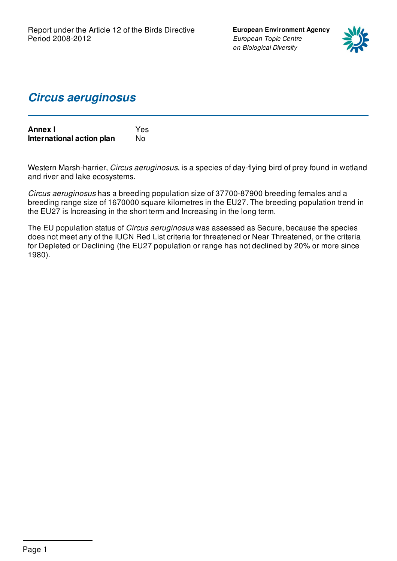**European Environment Agency** *European Topic Centre on Biological Diversity*



### *Circus aeruginosus*

| <b>Annex I</b>            | <b>Yes</b> |
|---------------------------|------------|
| International action plan | No.        |

Western Marsh-harrier, *Circus aeruginosus*, is a species of day-flying bird of prey found in wetland and river and lake ecosystems.

*Circus aeruginosus* has a breeding population size of 37700-87900 breeding females and a breeding range size of 1670000 square kilometres in the EU27. The breeding population trend in the EU27 is Increasing in the short term and Increasing in the long term.

The EU population status of *Circus aeruginosus* was assessed as Secure, because the species does not meet any of the IUCN Red List criteria for threatened or Near Threatened, or the criteria for Depleted or Declining (the EU27 population or range has not declined by 20% or more since 1980).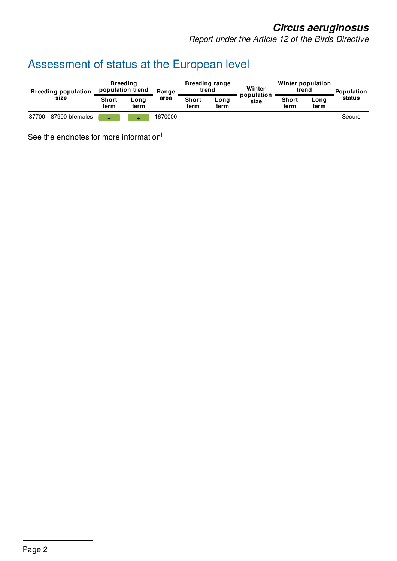*Report under the Article 12 of the Birds Directive*

# Assessment of status at the European level

| <b>Breeding population</b><br>size | <b>Breeding</b><br>population trend |              | Range   |                      | <b>Breeding range</b><br>trend | Winter             | Winter population<br>trend |              | Population |
|------------------------------------|-------------------------------------|--------------|---------|----------------------|--------------------------------|--------------------|----------------------------|--------------|------------|
|                                    | <b>Short</b><br>term                | Long<br>term | area    | <b>Short</b><br>term | Long<br>term                   | population<br>size | <b>Short</b><br>term       | Long<br>term | status     |
| 37700 - 87900 bfemales             |                                     |              | 1670000 |                      |                                |                    |                            |              | Secure     |

See the endnotes for more information<sup>i</sup>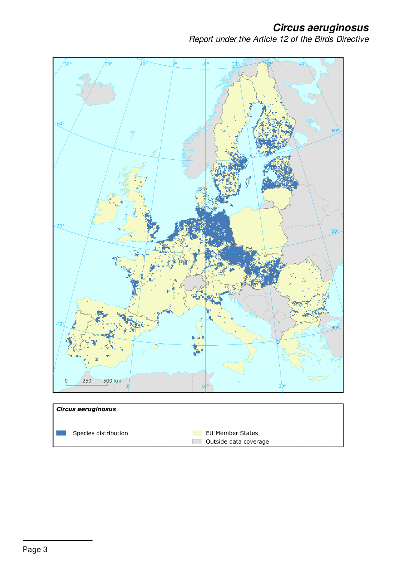*Report under the Article 12 of the Birds Directive*



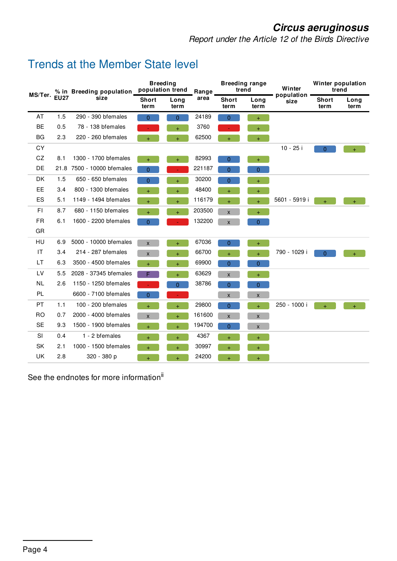*Report under the Article 12 of the Birds Directive*

### Trends at the Member State level

| MS/Ter.<br><b>EU27</b> |      | % in Breeding population | <b>Breeding</b><br>population trend |           | Range                | <b>Breeding range</b><br>trend |                    | Winter               | Winter population<br>trend |     |
|------------------------|------|--------------------------|-------------------------------------|-----------|----------------------|--------------------------------|--------------------|----------------------|----------------------------|-----|
|                        | size | <b>Short</b><br>term     | Long<br>term                        | area      | <b>Short</b><br>term | Long<br>term                   | population<br>size | <b>Short</b><br>term | Long<br>term               |     |
| AT                     | 1.5  | 290 - 390 bfemales       | $\overline{0}$                      | $\Omega$  | 24189                | $\overline{0}$                 | $\ddot{}$          |                      |                            |     |
| <b>BE</b>              | 0.5  | 78 - 138 bfemales        |                                     | $+$       | 3760                 |                                | $+$                |                      |                            |     |
| BG                     | 2.3  | 220 - 260 bfemales       | $+$                                 | ÷.        | 62500                | $+$                            | $+$                |                      |                            |     |
| CY                     |      |                          |                                     |           |                      |                                |                    | 10 - 25 i            | $\Omega$                   | $+$ |
| CZ                     | 8.1  | 1300 - 1700 bfemales     | $\ddot{}$                           | $+$       | 82993                | $\overline{0}$                 | $\ddot{}$          |                      |                            |     |
| DE                     | 21.8 | 7500 - 10000 bfemales    | $\overline{0}$                      |           | 221187               | $\overline{0}$                 | $\overline{0}$     |                      |                            |     |
| <b>DK</b>              | 1.5  | 650 - 650 bfemales       | $\overline{0}$                      | $\ddot{}$ | 30200                | $\overline{0}$                 | $\ddot{}$          |                      |                            |     |
| EE                     | 3.4  | 800 - 1300 bfemales      | $\ddot{}$                           | ÷.        | 48400                | $+$                            | $\pm$              |                      |                            |     |
| ES                     | 5.1  | 1149 - 1494 bfemales     | $\ddot{}$                           | $\ddot{}$ | 116179               | $\ddot{}$                      | $\ddot{}$          | 5601 - 5919 i        | $+$                        | $+$ |
| FI.                    | 8.7  | 680 - 1150 bfemales      |                                     |           | 203500               | X                              | $+$                |                      |                            |     |
| <b>FR</b>              | 6.1  | 1600 - 2200 bfemales     | $\overline{0}$                      |           | 132200               | $\mathsf{x}$                   | $\overline{0}$     |                      |                            |     |
| GR                     |      |                          |                                     |           |                      |                                |                    |                      |                            |     |
| HU                     | 6.9  | 5000 - 10000 bfemales    | $\mathsf{x}$                        | Ŧ.        | 67036                | $\overline{0}$                 | $\ddot{}$          |                      |                            |     |
| <b>IT</b>              | 3.4  | 214 - 287 bfemales       | X                                   | $\ddot{}$ | 66700                | Ŧ                              | $\ddot{}$          | 790 - 1029 i         | $\overline{0}$             | $+$ |
| LT.                    | 6.3  | 3500 - 4500 bfemales     | $\ddot{}$                           | $+$       | 69900                | 0                              | $\overline{0}$     |                      |                            |     |
| LV                     | 5.5  | 2028 - 37345 bfemales    | F                                   | ÷.        | 63629                | X                              | $+$                |                      |                            |     |
| <b>NL</b>              | 2.6  | 1150 - 1250 bfemales     |                                     | 0         | 38786                | $\overline{0}$                 | $\overline{0}$     |                      |                            |     |
| <b>PL</b>              |      | 6600 - 7100 bfemales     | 0                                   |           |                      | X                              | $\pmb{\mathsf{X}}$ |                      |                            |     |
| <b>PT</b>              | 1.1  | 100 - 200 bfemales       |                                     | $+$       | 29800                | $\overline{0}$                 | $\ddot{+}$         | 250 - 1000 i         | $+$                        | $+$ |
| <b>RO</b>              | 0.7  | 2000 - 4000 bfemales     | X                                   | $+$       | 161600               | X                              | $\pmb{\mathsf{x}}$ |                      |                            |     |
| <b>SE</b>              | 9.3  | 1500 - 1900 bfemales     | ÷                                   | Ŧ.        | 194700               | 0                              | $\pmb{\mathsf{X}}$ |                      |                            |     |
| SI                     | 0.4  | 1 - 2 bfemales           | $\ddot{}$                           | $+$       | 4367                 | $+$                            | $\ddot{}$          |                      |                            |     |
| <b>SK</b>              | 2.1  | 1000 - 1500 bfemales     | $\ddot{}$                           |           | 30997                | $+$                            | $+$                |                      |                            |     |
| UK                     | 2.8  | 320 - 380 p              | $\ddot{}$                           | $\ddot{}$ | 24200                | $+$                            | $+$                |                      |                            |     |

See the endnotes for more information<sup>ii</sup>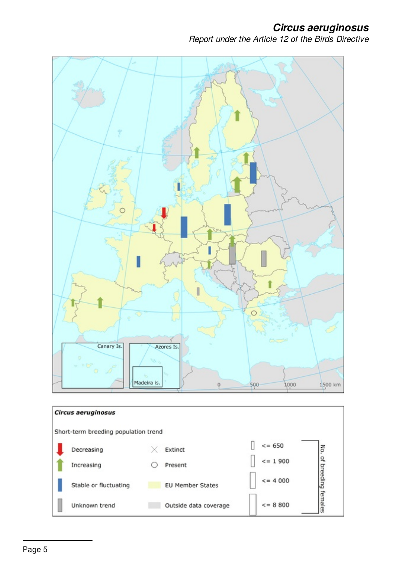*Report under the Article 12 of the Birds Directive*

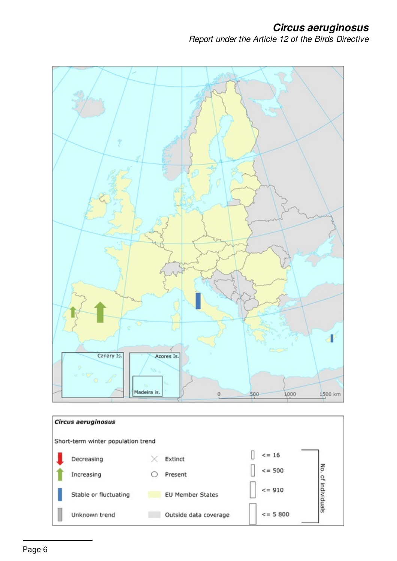### *Circus aeruginosus Report under the Article 12 of the Birds Directive*



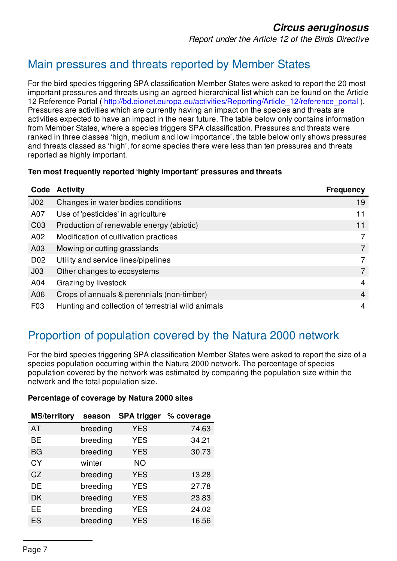*Report under the Article 12 of the Birds Directive*

## Main pressures and threats reported by Member States

For the bird species triggering SPA classification Member States were asked to report the 20 most important pressures and threats using an agreed hierarchical list which can be found on the Article 12 Reference Portal ( [http://bd.eionet.europa.eu/activities/Reporting/Article\\_12/reference\\_portal](http://bd.eionet.europa.eu/activities/Reporting/Article_12/reference_portal) ). Pressures are activities which are currently having an impact on the species and threats are activities expected to have an impact in the near future. The table below only contains information from Member States, where a species triggers SPA classification. Pressures and threats were ranked in three classes 'high, medium and low importance', the table below only shows pressures and threats classed as 'high', for some species there were less than ten pressures and threats reported as highly important.

#### **Ten most frequently reported 'highly important' pressures and threats**

| Code             | <b>Activity</b>                                    | <b>Frequency</b> |
|------------------|----------------------------------------------------|------------------|
| J <sub>02</sub>  | Changes in water bodies conditions                 | 19               |
| A07              | Use of 'pesticides' in agriculture                 | 11               |
| CO <sub>3</sub>  | Production of renewable energy (abiotic)           | 11               |
| A02              | Modification of cultivation practices              |                  |
| A03              | Mowing or cutting grasslands                       |                  |
| D <sub>02</sub>  | Utility and service lines/pipelines                | 7                |
| J <sub>03</sub>  | Other changes to ecosystems                        | 7                |
| A04              | Grazing by livestock                               | 4                |
| A06              | Crops of annuals & perennials (non-timber)         | 4                |
| F <sub>0</sub> 3 | Hunting and collection of terrestrial wild animals | 4                |

## Proportion of population covered by the Natura 2000 network

For the bird species triggering SPA classification Member States were asked to report the size of a species population occurring within the Natura 2000 network. The percentage of species population covered by the network was estimated by comparing the population size within the network and the total population size.

| <b>MS/territory</b> | season   | <b>SPA trigger</b> | % coverage |
|---------------------|----------|--------------------|------------|
| AT                  | breeding | <b>YES</b>         | 74.63      |
| <b>BE</b>           | breeding | <b>YES</b>         | 34.21      |
| BG                  | breeding | <b>YES</b>         | 30.73      |
| <b>CY</b>           | winter   | <b>NO</b>          |            |
| CZ                  | breeding | <b>YES</b>         | 13.28      |
| DE                  | breeding | <b>YES</b>         | 27.78      |
| DK                  | breeding | <b>YES</b>         | 23.83      |
| EE                  | breeding | <b>YES</b>         | 24.02      |
| ES                  | breeding | <b>YES</b>         | 16.56      |

#### **Percentage of coverage by Natura 2000 sites**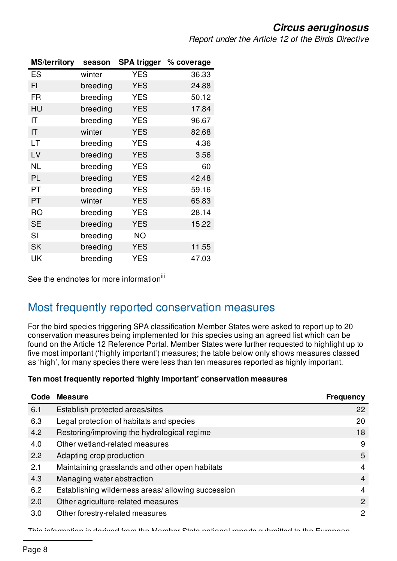*Report under the Article 12 of the Birds Directive*

| <b>MS/territory</b>    | season   | <b>SPA trigger</b> | % coverage |
|------------------------|----------|--------------------|------------|
| ES                     | winter   | <b>YES</b>         | 36.33      |
| FI                     | breeding | <b>YES</b>         | 24.88      |
| <b>FR</b>              | breeding | <b>YES</b>         | 50.12      |
| HU                     | breeding | <b>YES</b>         | 17.84      |
| IT                     | breeding | <b>YES</b>         | 96.67      |
| $\mathsf{I}\mathsf{T}$ | winter   | <b>YES</b>         | 82.68      |
| LT                     | breeding | <b>YES</b>         | 4.36       |
| LV                     | breeding | <b>YES</b>         | 3.56       |
| <b>NL</b>              | breeding | <b>YES</b>         | 60         |
| PL                     | breeding | <b>YES</b>         | 42.48      |
| PT                     | breeding | <b>YES</b>         | 59.16      |
| PT                     | winter   | <b>YES</b>         | 65.83      |
| <b>RO</b>              | breeding | <b>YES</b>         | 28.14      |
| <b>SE</b>              | breeding | <b>YES</b>         | 15.22      |
| SI                     | breeding | <b>NO</b>          |            |
| <b>SK</b>              | breeding | <b>YES</b>         | 11.55      |
| UK                     | breeding | <b>YES</b>         | 47.03      |

See the endnotes for more information<sup>iii</sup>

### Most frequently reported conservation measures

For the bird species triggering SPA classification Member States were asked to report up to 20 conservation measures being implemented for this species using an agreed list which can be found on the Article 12 Reference Portal. Member States were further requested to highlight up to five most important ('highly important') measures; the table below only shows measures classed as 'high', for many species there were less than ten measures reported as highly important.

#### **Ten most frequently reported 'highly important' conservation measures**

| Code | <b>Measure</b>                                    | <b>Frequency</b> |
|------|---------------------------------------------------|------------------|
| 6.1  | Establish protected areas/sites                   | 22               |
| 6.3  | Legal protection of habitats and species          | 20               |
| 4.2  | Restoring/improving the hydrological regime       | 18               |
| 4.0  | Other wetland-related measures                    | 9                |
| 2.2  | Adapting crop production                          | 5                |
| 2.1  | Maintaining grasslands and other open habitats    | $\overline{4}$   |
| 4.3  | Managing water abstraction                        | 4                |
| 6.2  | Establishing wilderness areas/allowing succession | $\overline{4}$   |
| 2.0  | Other agriculture-related measures                | 2                |
| 3.0  | Other forestry-related measures                   | 2                |

This information is derived from the Member State national reports submitted to the European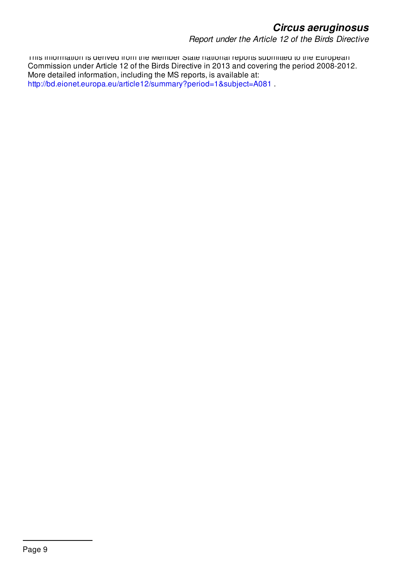*Report under the Article 12 of the Birds Directive*

This information is derived from the Member State national reports submitted to the European Commission under Article 12 of the Birds Directive in 2013 and covering the period 2008-2012. More detailed information, including the MS reports, is available at: <http://bd.eionet.europa.eu/article12/summary?period=1&subject=A081> .